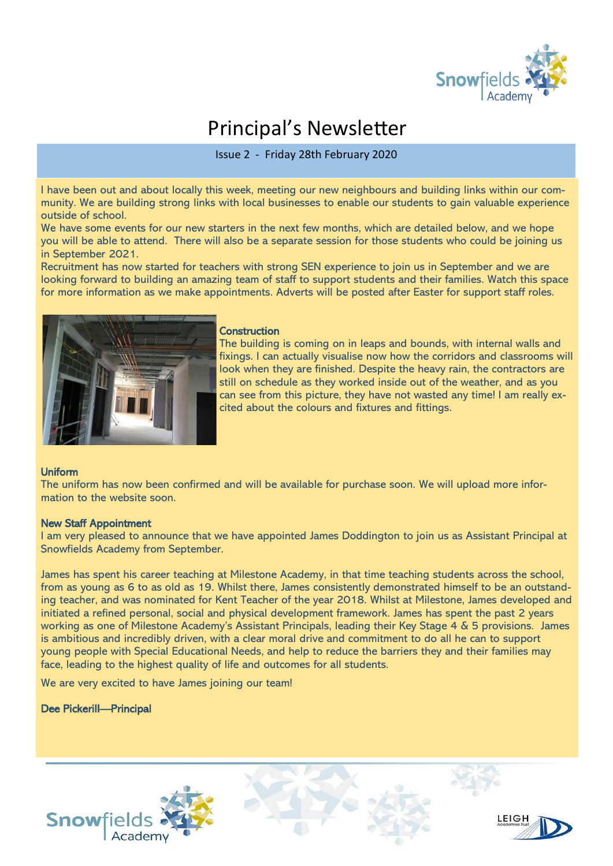

# Principal's Newsletter

Issue 2 - Friday 28th February 2020

I have been out and about locally this week, meeting our new neighbours and building links within our community. We are building strong links with local businesses to enable our students to gain valuable experience outside of school.

We have some events for our new starters in the next few months, which are detailed below, and we hope you will be able to attend. There will also be a separate session for those students who could be joining us in September 2021.

Recruitment has now started for teachers with strong SEN experience to join us in September and we are looking forward to building an amazing team of staff to support students and their families. Watch this space for more information as we make appointments. Adverts will be posted after Easter for support staff roles.



#### **Construction**

The building is coming on in leaps and bounds, with internal walls and fixings. I can actually visualise now how the corridors and classrooms will look when they are finished. Despite the heavy rain, the contractors are still on schedule as they worked inside out of the weather, and as you can see from this picture, they have not wasted any time! I am really excited about the colours and fixtures and fittings.

### Uniform

The uniform has now been confirmed and will be available for purchase soon. We will upload more information to the website soon.

#### New Staff Appointment

I am very pleased to announce that we have appointed James Doddington to join us as Assistant Principal at Snowfields Academy from September.

James has spent his career teaching at Milestone Academy, in that time teaching students across the school, from as young as 6 to as old as 19. Whilst there, James consistently demonstrated himself to be an outstanding teacher, and was nominated for Kent Teacher of the year 2018. Whilst at Milestone, James developed and initiated a refined personal, social and physical development framework. James has spent the past 2 years working as one of Milestone Academy's Assistant Principals, leading their Key Stage 4 & 5 provisions. James is ambitious and incredibly driven, with a clear moral drive and commitment to do all he can to support young people with Special Educational Needs, and help to reduce the barriers they and their families may face, leading to the highest quality of life and outcomes for all students.

We are very excited to have James joining our team!

#### Dee Pickerill—Principal